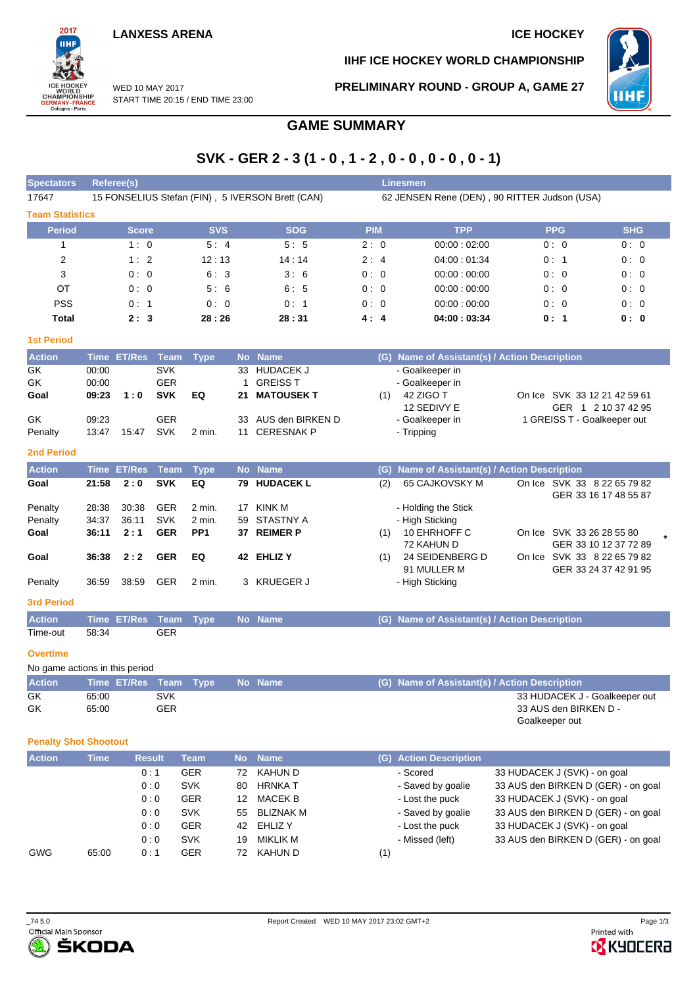

**IIHF ICE HOCKEY WORLD CHAMPIONSHIP**

**PRELIMINARY ROUND - GROUP A, GAME 27**



WED 10 MAY 2017 START TIME 20:15 / END TIME 23:00

# **GAME SUMMARY**

# **SVK - GER 2 - 3 (1 - 0 , 1 - 2 , 0 - 0 , 0 - 0 , 0 - 1)**

| 15 FONSELIUS Stefan (FIN), 5 IVERSON Brett (CAN)<br>62 JENSEN Rene (DEN), 90 RITTER Judson (USA)<br>17647 |            |
|-----------------------------------------------------------------------------------------------------------|------------|
|                                                                                                           |            |
| <b>Team Statistics</b>                                                                                    |            |
| <b>Period</b><br><b>SVS</b><br><b>SOG</b><br><b>PPG</b><br><b>PIM</b><br><b>TPP</b><br><b>Score</b>       | <b>SHG</b> |
| 5:5<br>5:4<br>2:0<br>00:00:02:00<br>0:0<br>1:0                                                            | 0:0        |
| 12:13<br>2<br>1:2<br>04:00:01:34<br>14:14<br>2:4<br>0:1                                                   | 0:0        |
| 3<br>6:3<br>3:6<br>0:0<br>0:0<br>00:00:00:00<br>0:0                                                       | 0:0        |
| OT<br>5:6<br>6:5<br>0:0<br>00:00:00:00<br>0:0<br>0:0                                                      | 0:0        |
| <b>PSS</b><br>00:00:00:00<br>0:1<br>0:1<br>0:0<br>0:0<br>0:0                                              | 0:0        |
| 28:26<br>Total<br>28:31<br>04:00:03:34<br>0:1<br>2:3<br>4:4                                               | 0:0        |

### **1st Period**

| <b>Action</b> |       | Time ET/Res Team Type |            |        |    | No Name             |     | (G) Name of Assistant(s) / Action Description |                              |
|---------------|-------|-----------------------|------------|--------|----|---------------------|-----|-----------------------------------------------|------------------------------|
| GK            | 00:00 |                       | <b>SVK</b> |        |    | 33 HUDACEK J        |     | - Goalkeeper in                               |                              |
| GK            | 00:00 |                       | <b>GER</b> |        |    | GREISS T            |     | - Goalkeeper in                               |                              |
| Goal          | 09:23 | 1:0                   | <b>SVK</b> | EQ     |    | 21 MATOUSEK T       | (1) | 42 ZIGO T                                     | On Ice SVK 33 12 21 42 59 61 |
|               |       |                       |            |        |    |                     |     | 12 SEDIVY E                                   | GER 1 2 10 37 42 95          |
| GK            | 09.23 |                       | GER        |        |    | 33 AUS den BIRKEN D |     | - Goalkeeper in                               | 1 GREISS T - Goalkeeper out  |
| Penalty       | 13:47 | 15:47                 | SVK        | 2 min. | 11 | CERESNAK P          |     | - Tripping                                    |                              |

#### **2nd Period**

| <b>Action</b>     |             | Time ET/Res Team |            | Tvpe            |     | No Name          | (G) Name of Assistant(s) / Action Description            |  |
|-------------------|-------------|------------------|------------|-----------------|-----|------------------|----------------------------------------------------------|--|
| Goal              | 21:58       | 2:0              | <b>SVK</b> | EQ              | 79. | <b>HUDACEK L</b> | 65 CAJKOVSKY M<br>On Ice SVK 33 8 22 65 79 82<br>(2)     |  |
|                   |             |                  |            |                 |     |                  | GER 33 16 17 48 55 87                                    |  |
| Penalty           | 28:38       | 30:38            | <b>GER</b> | 2 min.          | 17  | KINK M           | - Holding the Stick                                      |  |
| Penalty           | 34:37       | 36:11            | <b>SVK</b> | 2 min.          | 59  | STASTNY A        | - High Sticking                                          |  |
| Goal              | 36:11       | 2:1              | <b>GER</b> | PP <sub>1</sub> | 37. | <b>REIMER P</b>  | 10 EHRHOFF C<br>On Ice SVK 33 26 28 55 80<br>(1)         |  |
|                   |             |                  |            |                 |     |                  | 72 KAHUN D<br>GER 33 10 12 37 72 89                      |  |
| Goal              | 36:38       | 2:2              | <b>GER</b> | EQ              | 42  | <b>EHLIZ Y</b>   | 24 SEIDENBERG D<br>SVK 33 8 22 65 79 82<br>(1)<br>On Ice |  |
|                   |             |                  |            |                 |     |                  | 91 MULLER M<br>GER 33 24 37 42 91 95                     |  |
| Penalty           | 36.59       | 38.59            | <b>GER</b> | $2$ min.        |     | 3 KRUEGER J      | - High Sticking                                          |  |
| <b>3rd Period</b> |             |                  |            |                 |     |                  |                                                          |  |
| <b>Action</b>     | <b>Time</b> | <b>ET/Res</b>    | Team       | <b>Type</b>     |     | No Name          | (G) Name of Assistant(s) / Action Description            |  |

# **Overtime**

No game actions in this period

Time-out 58:34 GER

| <b>Action</b> | Time ET/Res Team Type |            |  | No Name | (G) Name of Assistant(s) / Action Description |
|---------------|-----------------------|------------|--|---------|-----------------------------------------------|
| GK            | 65:00                 | <b>SVK</b> |  |         | 33 HUDACEK J - Goalkeeper out                 |
| GK            | 65:00                 | GER        |  |         | 33 AUS den BIRKEN D -                         |
|               |                       |            |  |         | Goalkeeper out                                |

#### **Penalty Shot Shootout**

| <b>Action</b> | <b>Time</b> | <b>Result</b> | <b>Team</b> | No. | <b>Name</b> | (G) Action Description |                                     |
|---------------|-------------|---------------|-------------|-----|-------------|------------------------|-------------------------------------|
|               |             | 0:1           | <b>GER</b>  | 72  | KAHUN D     | - Scored               | 33 HUDACEK J (SVK) - on goal        |
|               |             | 0:0           | <b>SVK</b>  | 80  | HRNKA T     | - Saved by goalie      | 33 AUS den BIRKEN D (GER) - on goal |
|               |             | 0:0           | <b>GER</b>  | 12  | MACEK B     | - Lost the puck        | 33 HUDACEK J (SVK) - on goal        |
|               |             | 0:0           | <b>SVK</b>  | 55. | BLIZNAK M   | - Saved by goalie      | 33 AUS den BIRKEN D (GER) - on goal |
|               |             | 0:0           | <b>GER</b>  | 42  | EHLIZ Y     | - Lost the puck        | 33 HUDACEK J (SVK) - on goal        |
|               |             | 0:0           | <b>SVK</b>  | 19  | MIKLIK M    | - Missed (left)        | 33 AUS den BIRKEN D (GER) - on goal |
| <b>GWG</b>    | 65:00       | 0:1           | GER         | 72  | KAHUN D     | (1)                    |                                     |



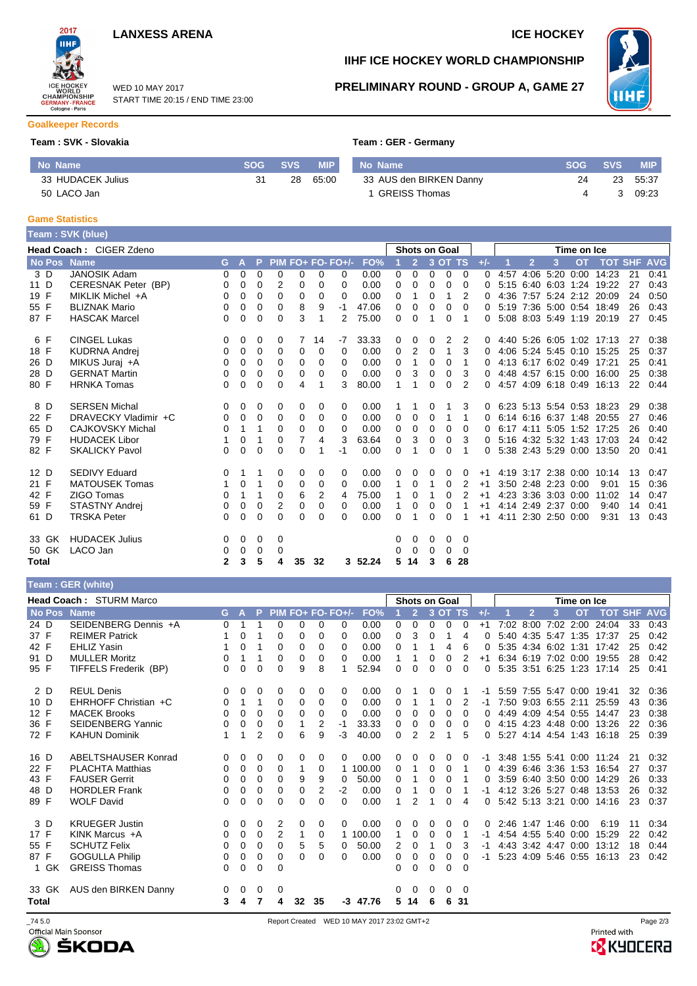





### WED 10 MAY 2017 START TIME 20:15 / END TIME 23:00

# **IIHF ICE HOCKEY WORLD CHAMPIONSHIP**



### **PRELIMINARY ROUND - GROUP A, GAME 27**

### **Goalkeeper Records**

### **Team : SVK - Slovakia**

|  |  | Team : GER - Germany |
|--|--|----------------------|
|  |  |                      |

| No Name           | SOG | <b>SVS</b> | <b>MIP</b> | No Name                 | <b>SOG</b> | <b>SVS</b> | <b>MIP</b> |
|-------------------|-----|------------|------------|-------------------------|------------|------------|------------|
| 33 HUDACEK Julius |     | 28         | 65:00      | 33 AUS den BIRKEN Danny | 24         | 23         | 55:37      |
| 50 LACO Jan       |     |            |            | GREISS Thomas           |            |            | 09:23      |

#### **Game Statistics Team : SVK (blue)**

|       | <b>Team: SVK (Diue)</b> |              |              |          |          |    |          |                   |         |   |                      |          |          |                |          |      |                |                     |             |                           |    |      |
|-------|-------------------------|--------------|--------------|----------|----------|----|----------|-------------------|---------|---|----------------------|----------|----------|----------------|----------|------|----------------|---------------------|-------------|---------------------------|----|------|
|       | Head Coach: CIGER Zdeno |              |              |          |          |    |          |                   |         |   | <b>Shots on Goal</b> |          |          |                |          |      |                |                     | Time on Ice |                           |    |      |
|       | No Pos Name             | G.           | $\mathsf{A}$ | P.       |          |    |          | PIM FO+ FO- FO+/- | FO%     |   | 2 <sup>7</sup>       |          | 3 OT TS  |                | $+/-$    |      | $\overline{2}$ | 3                   | <b>OT</b>   | <b>TOT SHF AVG</b>        |    |      |
| 3 D   | <b>JANOSIK Adam</b>     | 0            | 0            | $\Omega$ | 0        | 0  | $\Omega$ | 0                 | 0.00    | 0 | 0                    | $\Omega$ | $\Omega$ | $\Omega$       | $\Omega$ | 4:57 |                |                     |             | 4:06 5:20 0:00 14:23      | 21 | 0:41 |
| 11 D  | CERESNAK Peter (BP)     | 0            | 0            | 0        | 2        | 0  | 0        | 0                 | 0.00    | 0 | 0                    | 0        | 0        | $\Omega$       | 0        |      |                |                     |             | 5:15 6:40 6:03 1:24 19:22 | 27 | 0:43 |
| 19 F  | MIKLIK Michel +A        | 0            | 0            | $\Omega$ | 0        | 0  | 0        | $\Omega$          | 0.00    | 0 | 1                    | 0        | 1        | 2              | 0        |      |                |                     |             | 4:36 7:57 5:24 2:12 20:09 | 24 | 0:50 |
| 55 F  | <b>BLIZNAK Mario</b>    | 0            | 0            | 0        | 0        | 8  | 9        | $-1$              | 47.06   | 0 | 0                    | 0        | 0        | $\Omega$       | 0        |      |                |                     |             | 5:19 7:36 5:00 0:54 18:49 | 26 | 0:43 |
| 87 F  | <b>HASCAK Marcel</b>    | 0            | 0            | $\Omega$ | 0        | 3  | 1        | 2                 | 75.00   | 0 | $\Omega$             | 1        | 0        | 1              | 0        |      |                |                     |             | 5:08 8:03 5:49 1:19 20:19 | 27 | 0:45 |
| 6 F   | <b>CINGEL Lukas</b>     | 0            | 0            | 0        | 0        | 7  | 14       | $-7$              | 33.33   | 0 | 0                    | 0        | 2        | 2              | 0        |      |                |                     |             | 4:40 5:26 6:05 1:02 17:13 | 27 | 0:38 |
| 18 F  | <b>KUDRNA Andrej</b>    | 0            | 0            | 0        | 0        | 0  | 0        | 0                 | 0.00    | 0 | 2                    | $\Omega$ | 1        | 3              | $\Omega$ |      |                |                     |             | 4:06 5:24 5:45 0:10 15:25 | 25 | 0:37 |
| 26 D  | MIKUS Juraj +A          | 0            | 0            | $\Omega$ | 0        | 0  | $\Omega$ | 0                 | 0.00    | 0 | 1                    | 0        | 0        | 1              | 0        |      |                |                     |             | 4:13 6:17 6:02 0:49 17:21 | 25 | 0:41 |
| 28 D  | <b>GERNAT Martin</b>    | 0            | 0            | $\Omega$ | 0        | 0  | 0        | $\Omega$          | 0.00    | 0 | 3                    | 0        | 0        | 3              | 0        |      |                |                     |             | 4:48 4:57 6:15 0:00 16:00 | 25 | 0:38 |
| 80 F  | <b>HRNKA Tomas</b>      | 0            | 0            | $\Omega$ | 0        | 4  | 1        | 3                 | 80.00   | 1 | 1                    | 0        | 0        | $\mathfrak{p}$ | 0        |      |                |                     |             | 4:57 4:09 6:18 0:49 16:13 | 22 | 0:44 |
| 8 D   | <b>SERSEN Michal</b>    | 0            | $\Omega$     | $\Omega$ | $\Omega$ | 0  | 0        | 0                 | 0.00    | 1 | 1                    | 0        | 1        | 3              | 0        |      |                |                     |             | 6.23 5.13 5.54 0.53 18.23 | 29 | 0:38 |
| 22 F  | DRAVECKY Vladimir +C    | 0            | 0            | $\Omega$ | 0        | 0  | 0        | $\Omega$          | 0.00    | 0 | 0                    | 0        | 1        | 1              | 0        |      |                |                     |             | 6:14 6:16 6:37 1:48 20:55 | 27 | 0:46 |
| 65 D  | <b>CAJKOVSKY Michal</b> | 0            | 1            |          | 0        | 0  | 0        | $\Omega$          | 0.00    | 0 | 0                    | 0        | $\Omega$ | $\Omega$       | 0        |      |                |                     |             | 6:17 4:11 5:05 1:52 17:25 | 26 | 0:40 |
| 79 F  | <b>HUDACEK Libor</b>    |              | 0            |          | 0        | 7  | 4        | 3                 | 63.64   | 0 | 3                    | 0        | 0        | 3              | 0        |      |                |                     |             | 5:16 4:32 5:32 1:43 17:03 | 24 | 0:42 |
| 82 F  | <b>SKALICKY Pavol</b>   | 0            | 0            | $\Omega$ | 0        | 0  |          | -1                | 0.00    | 0 |                      | 0        | 0        |                | 0        |      |                |                     |             | 5:38 2:43 5:29 0:00 13:50 | 20 | 0:41 |
| 12 D  | <b>SEDIVY Eduard</b>    | 0            | 1            |          | 0        | 0  | 0        | 0                 | 0.00    | 0 | $\Omega$             | 0        | 0        | 0              | $+1$     |      |                |                     |             | 4:19 3:17 2:38 0:00 10:14 | 13 | 0:47 |
| 21 F  | <b>MATOUSEK Tomas</b>   | 1.           | 0            |          | 0        | 0  | 0        | 0                 | 0.00    | 1 | 0                    | 1        | 0        | 2              | $+1$     |      |                | 3:50 2:48 2:23 0:00 |             | 9:01                      | 15 | 0:36 |
| 42 F  | ZIGO Tomas              | 0            | 1            | 1        | 0        | 6  | 2        | 4                 | 75.00   |   | 0                    |          | 0        | 2              | $+1$     |      |                | 4:23 3:36 3:03 0:00 |             | 11:02                     | 14 | 0:47 |
| 59 F  | <b>STASTNY Andrei</b>   | 0            | 0            | 0        | 2        | 0  | 0        | $\Omega$          | 0.00    |   | 0                    | 0        | 0        |                | $+1$     |      |                | 4:14 2:49 2:37 0:00 |             | 9:40                      | 14 | 0:41 |
| 61 D  | <b>TRSKA Peter</b>      | $\Omega$     | 0            | $\Omega$ | 0        | 0  | 0        | 0                 | 0.00    | 0 |                      | 0        | $\Omega$ |                | $+1$     |      |                | 4:11 2:30 2:50 0:00 |             | 9:31                      | 13 | 0:43 |
| 33 GK | <b>HUDACEK Julius</b>   | 0            | 0            | 0        | $\Omega$ |    |          |                   |         | 0 | 0                    | $\Omega$ | $\Omega$ | $\Omega$       |          |      |                |                     |             |                           |    |      |
| 50 GK | LACO Jan                | 0            | 0            | 0        | 0        |    |          |                   |         | 0 | 0                    | 0        | 0        | 0              |          |      |                |                     |             |                           |    |      |
| Total |                         | $\mathbf{2}$ | 3            | 5        | 4        | 35 | 32       |                   | 3 52.24 | 5 | 14                   | 3        | 6        | 28             |          |      |                |                     |             |                           |    |      |
|       |                         |              |              |          |          |    |          |                   |         |   |                      |          |          |                |          |      |                |                     |             |                           |    |      |

| Team : GER (white) |  |
|--------------------|--|
|                    |  |
|                    |  |

|             | <b>Head Coach: STURM Marco</b> |    |          |          |                |          |          |                   |        | <b>Shots on Goal</b> |                |          |          |          |          | Time on Ice |                |                     |           |                           |            |            |
|-------------|--------------------------------|----|----------|----------|----------------|----------|----------|-------------------|--------|----------------------|----------------|----------|----------|----------|----------|-------------|----------------|---------------------|-----------|---------------------------|------------|------------|
| No Pos Name |                                | G. | A        | P        |                |          |          | PIM FO+ FO- FO+/- | FO%    |                      | $\overline{2}$ |          | 3 OT TS  |          | $+/-$    |             | $\overline{2}$ | 3                   | <b>OT</b> | <b>TOT</b>                | <b>SHF</b> | <b>AVG</b> |
| 24 D        | SEIDENBERG Dennis +A           | 0  |          |          | $\Omega$       | 0        | 0        | 0                 | 0.00   | 0                    | $\Omega$       | $\Omega$ | $\Omega$ | $\Omega$ | $+1$     | 7:02        | 8:00           | 7:02                |           | 2:00 24:04                | 33         | 0:43       |
| 37 F        | <b>REIMER Patrick</b>          |    | 0        |          | 0              | 0        | $\Omega$ | $\Omega$          | 0.00   | 0                    | 3              | 0        |          | 4        | 0        |             |                | 5:40 4:35 5:47 1:35 |           | 17:37                     | 25         | 0:42       |
| 42 F        | <b>EHLIZ Yasin</b>             |    | 0        | 1        | $\Omega$       | 0        | $\Omega$ | 0                 | 0.00   | 0                    |                |          | 4        | 6        | 0        |             |                | 5:35 4:34 6:02 1:31 |           | 17:42                     | 25         | 0:42       |
| 91 D        | <b>MULLER Moritz</b>           | 0  | 1        |          | 0              | 0        | 0        | 0                 | 0.00   |                      |                | 0        | 0        | 2        | $+1$     |             |                |                     |           | 6:34 6:19 7:02 0:00 19:55 | 28         | 0:42       |
| 95 F        | TIFFELS Frederik (BP)          | 0  | 0        | 0        | 0              | 9        | 8        |                   | 52.94  | $\Omega$             | $\Omega$       | $\Omega$ | $\Omega$ | 0        | $\Omega$ |             |                | 5:35 3:51 6:25 1:23 |           | 17:14                     | 25         | 0:41       |
| 2 D         | <b>REUL Denis</b>              | 0  | 0        | 0        | 0              | 0        | 0        | 0                 | 0.00   | 0                    |                | 0        | 0        |          | -1       |             |                | 5:59 7:55 5:47 0:00 |           | 19:41                     | 32         | 0:36       |
| 10 D        | EHRHOFF Christian +C           | 0  | 1        | 1        | 0              | 0        | 0        | 0                 | 0.00   | 0                    | 1              | 1        | $\Omega$ | 2        | -1       |             |                | 7:50 9:03 6:55 2:11 |           | 25:59                     | 43         | 0:36       |
| 12 F        | <b>MACEK Brooks</b>            | 0  | $\Omega$ | 0        | 0              | $\Omega$ | 0        | 0                 | 0.00   | 0                    | 0              | $\Omega$ | $\Omega$ | 0        | 0        |             |                | 4:49 4:09 4:54 0:55 |           | 14:47                     | 23         | 0:38       |
| 36 F        | <b>SEIDENBERG Yannic</b>       | 0  | 0        | $\Omega$ | 0              |          | 2        | -1                | 33.33  | 0                    | 0              | 0        | 0        | 0        | 0        |             |                | 4:15 4:23 4:48 0:00 |           | 13:26                     | 22         | 0:36       |
| 72 F        | <b>KAHUN Dominik</b>           | 1  | 1        | 2        | 0              | 6        | 9        | -3                | 40.00  | $\Omega$             | 2              | 2        | 1        | 5        | 0        |             |                |                     |           | 5:27 4:14 4:54 1:43 16:18 | 25         | 0:39       |
| 16 D        | ABELTSHAUSER Konrad            | 0  | 0        | 0        | 0              | 0        | 0        | 0                 | 0.00   | 0                    | 0              | 0        | 0        | 0        | -1       |             |                |                     |           | 3:48 1:55 5:41 0:00 11:24 | 21         | 0:32       |
| 22 F        | <b>PLACHTA Matthias</b>        | 0  | 0        | $\Omega$ | 0              | 1        | 0        |                   | 100.00 | 0                    | 1              | 0        | $\Omega$ |          | 0        |             |                |                     |           | 4:39 6:46 3:36 1:53 16:54 | 27         | 0:37       |
| 43 F        | <b>FAUSER Gerrit</b>           | 0  | 0        | 0        | 0              | 9        | 9        | 0                 | 50.00  | 0                    |                | 0        | 0        |          | 0        |             |                | 3:59 6:40 3:50 0:00 |           | 14:29                     | 26         | 0:33       |
| 48 D        | <b>HORDLER Frank</b>           | 0  | $\Omega$ | 0        | 0              | 0        | 2        | $-2$              | 0.00   | $\Omega$             | 1              | 0        | 0        |          | -1       |             |                | 4.12 3.26 5.27 0.48 |           | 13:53                     | 26         | 0:32       |
| 89 F        | <b>WOLF David</b>              | 0  | 0        | 0        | 0              | 0        | $\Omega$ | $\Omega$          | 0.00   |                      | 2              |          | 0        | 4        | 0        |             |                | 5:42 5:13 3:21 0:00 |           | 14:16                     | 23         | 0:37       |
| 3 D         | <b>KRUEGER Justin</b>          | 0  | 0        | 0        | 2              | 0        | 0        | 0                 | 0.00   | 0                    | 0              | 0        | $\Omega$ | 0        | 0        |             |                | 2:46 1:47 1:46 0:00 |           | 6:19                      | 11         | 0:34       |
| 17 F        | KINK Marcus $+A$               | 0  | 0        | 0        | $\overline{2}$ | 1        | 0        |                   | 100.00 | 1                    | 0              | 0        | 0        |          | -1       |             |                | 4:54 4:55 5:40 0:00 |           | 15:29                     | 22         | 0:42       |
| 55 F        | <b>SCHUTZ Felix</b>            | 0  | 0        | $\Omega$ | $\Omega$       | 5        | 5        | 0                 | 50.00  | 2                    | 0              | 1        | 0        | 3        | -1       |             |                | 4:43 3:42 4:47 0:00 |           | 13:12                     | 18         | 0:44       |
| 87 F        | <b>GOGULLA Philip</b>          | 0  | 0        | 0        | 0              | 0        | 0        | 0                 | 0.00   | 0                    | 0              | 0        | 0        | 0        | -1       |             |                | 5:23 4:09 5:46 0:55 |           | 16:13                     | 23         | 0:42       |
| GK<br>1     | <b>GREISS Thomas</b>           | 0  | 0        | 0        | 0              |          |          |                   |        | 0                    | 0              | 0        | $\Omega$ | $\Omega$ |          |             |                |                     |           |                           |            |            |
| 33 GK       | AUS den BIRKEN Danny           | 0  | 0        | 0        | 0              |          |          |                   |        | 0                    | 0              | 0        | $\Omega$ | 0        |          |             |                |                     |           |                           |            |            |
| Total       |                                | 3  | 4        | 7        | 4              | 32       | 35       | $-3$              | 47.76  | 5                    | 14             | 6        | 6        | -31      |          |             |                |                     |           |                           |            |            |